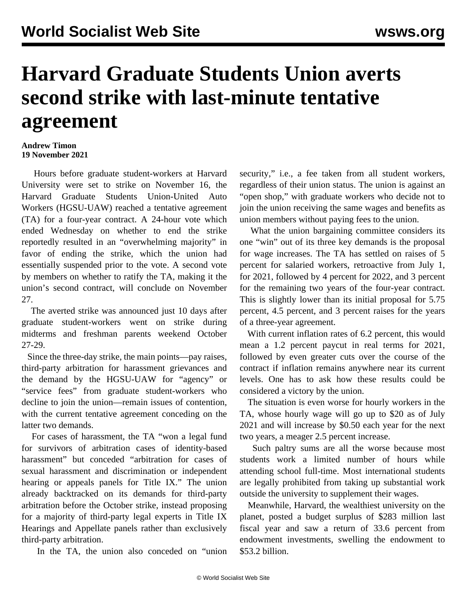## **Harvard Graduate Students Union averts second strike with last-minute tentative agreement**

## **Andrew Timon 19 November 2021**

 Hours before graduate student-workers at Harvard University were set to strike on November 16, the Harvard Graduate Students Union-United Auto Workers (HGSU-UAW) reached a tentative agreement (TA) for a four-year contract. A 24-hour vote which ended Wednesday on whether to end the strike reportedly resulted in an "overwhelming majority" in favor of ending the strike, which the union had essentially suspended prior to the vote. A second vote by members on whether to ratify the TA, making it the union's second contract, will conclude on November 27.

 The averted strike was announced just 10 days after graduate student-workers went on strike during midterms and freshman parents weekend October 27-29.

 Since the three-day strike, the main points—pay raises, third-party arbitration for harassment grievances and the demand by the HGSU-UAW for "agency" or "service fees" from graduate student-workers who decline to join the union—remain issues of contention, with the current tentative agreement conceding on the latter two demands.

 For cases of harassment, the TA "won a legal fund for survivors of arbitration cases of identity-based harassment" but conceded "arbitration for cases of sexual harassment and discrimination or independent hearing or appeals panels for Title IX." The union already backtracked on its demands for third-party arbitration before the October strike, instead proposing for a majority of third-party legal experts in Title IX Hearings and Appellate panels rather than exclusively third-party arbitration.

In the TA, the union also conceded on "union

security," i.e., a fee taken from all student workers, regardless of their union status. The union is against an "open shop," with graduate workers who decide not to join the union receiving the same wages and benefits as union members without paying fees to the union.

 What the union bargaining committee considers its one "win" out of its three key demands is the proposal for wage increases. The TA has settled on raises of 5 percent for salaried workers, retroactive from July 1, for 2021, followed by 4 percent for 2022, and 3 percent for the remaining two years of the four-year contract. This is slightly lower than its initial proposal for 5.75 percent, 4.5 percent, and 3 percent raises for the years of a three-year agreement.

 With current inflation rates of 6.2 percent, this would mean a 1.2 percent paycut in real terms for 2021, followed by even greater cuts over the course of the contract if inflation remains anywhere near its current levels. One has to ask how these results could be considered a victory by the union.

 The situation is even worse for hourly workers in the TA, whose hourly wage will go up to \$20 as of July 2021 and will increase by \$0.50 each year for the next two years, a meager 2.5 percent increase.

 Such paltry sums are all the worse because most students work a limited number of hours while attending school full-time. Most international students are legally prohibited from taking up substantial work outside the university to supplement their wages.

 Meanwhile, Harvard, the wealthiest university on the planet, posted a budget surplus of \$283 million last fiscal year and saw a return of 33.6 percent from endowment investments, swelling the endowment to \$53.2 billion.